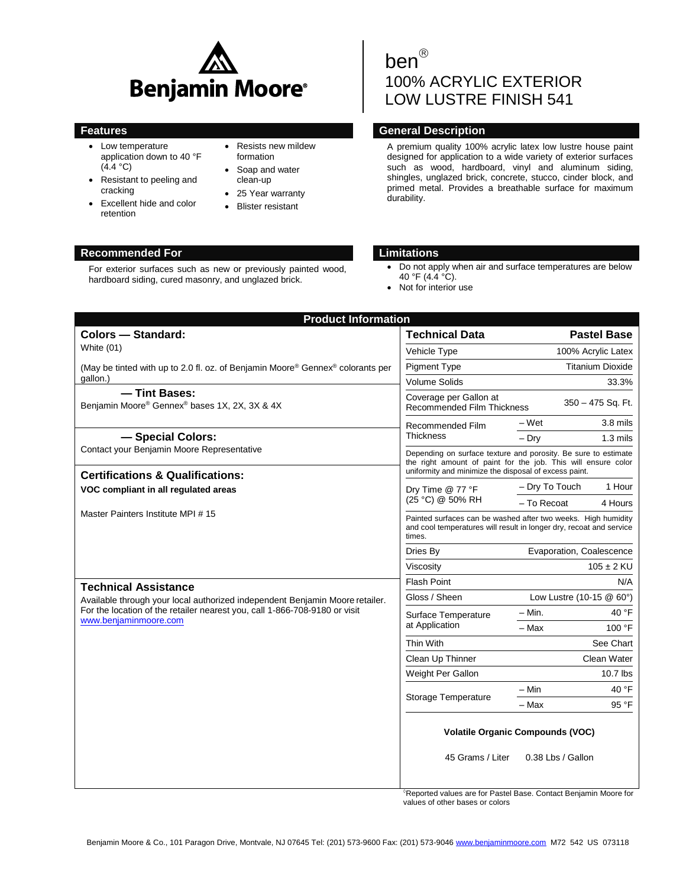

- Low temperature application down to 40 °F  $(4.4 °C)$
- Resistant to peeling and cracking
- Excellent hide and color retention

# Resists new mildew formation

- Soap and water clean-up
- 25 Year warranty
- Blister resistant

# ben<sup>®</sup> 100% ACRYLIC EXTERIOR LOW LUSTRE FINISH 541

# **Features General Description**

A premium quality 100% acrylic latex low lustre house paint designed for application to a wide variety of exterior surfaces such as wood, hardboard, vinyl and aluminum siding, shingles, unglazed brick, concrete, stucco, cinder block, and primed metal. Provides a breathable surface for maximum durability.

# **Recommended For Limitations**

For exterior surfaces such as new or previously painted wood, hardboard siding, cured masonry, and unglazed brick.

- Do not apply when air and surface temperatures are below 40 °F (4.4 °C).
- Not for interior use

| <b>Colors - Standard:</b>                                                                           | <b>Technical Data</b>                                                                                                                                                                    |                                            | <b>Pastel Base</b> |
|-----------------------------------------------------------------------------------------------------|------------------------------------------------------------------------------------------------------------------------------------------------------------------------------------------|--------------------------------------------|--------------------|
| White $(01)$                                                                                        | Vehicle Type                                                                                                                                                                             | 100% Acrylic Latex                         |                    |
| (May be tinted with up to 2.0 fl. oz. of Benjamin Moore® Gennex® colorants per                      | <b>Pigment Type</b>                                                                                                                                                                      | <b>Titanium Dioxide</b>                    |                    |
| qallon.)                                                                                            | <b>Volume Solids</b>                                                                                                                                                                     | 33.3%                                      |                    |
| - Tint Bases:<br>Benjamin Moore® Gennex® bases 1X, 2X, 3X & 4X                                      | Coverage per Gallon at<br><b>Recommended Film Thickness</b>                                                                                                                              | 350 - 475 Sq. Ft.                          |                    |
|                                                                                                     | Recommended Film                                                                                                                                                                         | – Wet                                      | $3.8$ mils         |
| - Special Colors:                                                                                   | <b>Thickness</b>                                                                                                                                                                         | $-$ Drv                                    | $1.3$ mils         |
| Contact your Benjamin Moore Representative                                                          | Depending on surface texture and porosity. Be sure to estimate<br>the right amount of paint for the job. This will ensure color<br>uniformity and minimize the disposal of excess paint. |                                            |                    |
| <b>Certifications &amp; Qualifications:</b>                                                         |                                                                                                                                                                                          |                                            |                    |
| VOC compliant in all regulated areas                                                                | Dry Time @ 77 °F                                                                                                                                                                         | - Dry To Touch                             | 1 Hour             |
|                                                                                                     | (25 °C) @ 50% RH                                                                                                                                                                         | - To Recoat                                | 4 Hours            |
| Master Painters Institute MPI #15                                                                   | Painted surfaces can be washed after two weeks. High humidity<br>and cool temperatures will result in longer dry, recoat and service<br>times.                                           |                                            |                    |
|                                                                                                     | Dries By                                                                                                                                                                                 | Evaporation, Coalescence                   |                    |
|                                                                                                     | Viscosity                                                                                                                                                                                | $105 \pm 2$ KU                             |                    |
| <b>Technical Assistance</b>                                                                         | <b>Flash Point</b>                                                                                                                                                                       | N/A                                        |                    |
| Available through your local authorized independent Benjamin Moore retailer.                        | Gloss / Sheen                                                                                                                                                                            | Low Lustre $(10-15 \text{ @ } 60^{\circ})$ |                    |
| For the location of the retailer nearest you, call 1-866-708-9180 or visit<br>www.benjaminmoore.com | Surface Temperature                                                                                                                                                                      | – Min.                                     | 40 °F              |
|                                                                                                     | at Application                                                                                                                                                                           | - Max                                      | 100 °F             |
|                                                                                                     | Thin With                                                                                                                                                                                |                                            | See Chart          |
|                                                                                                     | Clean Up Thinner                                                                                                                                                                         |                                            | Clean Water        |
|                                                                                                     | Weight Per Gallon                                                                                                                                                                        |                                            | $10.7$ lbs         |
|                                                                                                     | Storage Temperature                                                                                                                                                                      | – Min                                      | 40 °F              |
|                                                                                                     |                                                                                                                                                                                          | – Max                                      | 95 °F              |
|                                                                                                     | <b>Volatile Organic Compounds (VOC)</b>                                                                                                                                                  |                                            |                    |
|                                                                                                     | 45 Grams / Liter                                                                                                                                                                         | 0.38 Lbs / Gallon                          |                    |

Reported values are for Pastel Base. Contact Benjamin Moore for values of other bases or colors